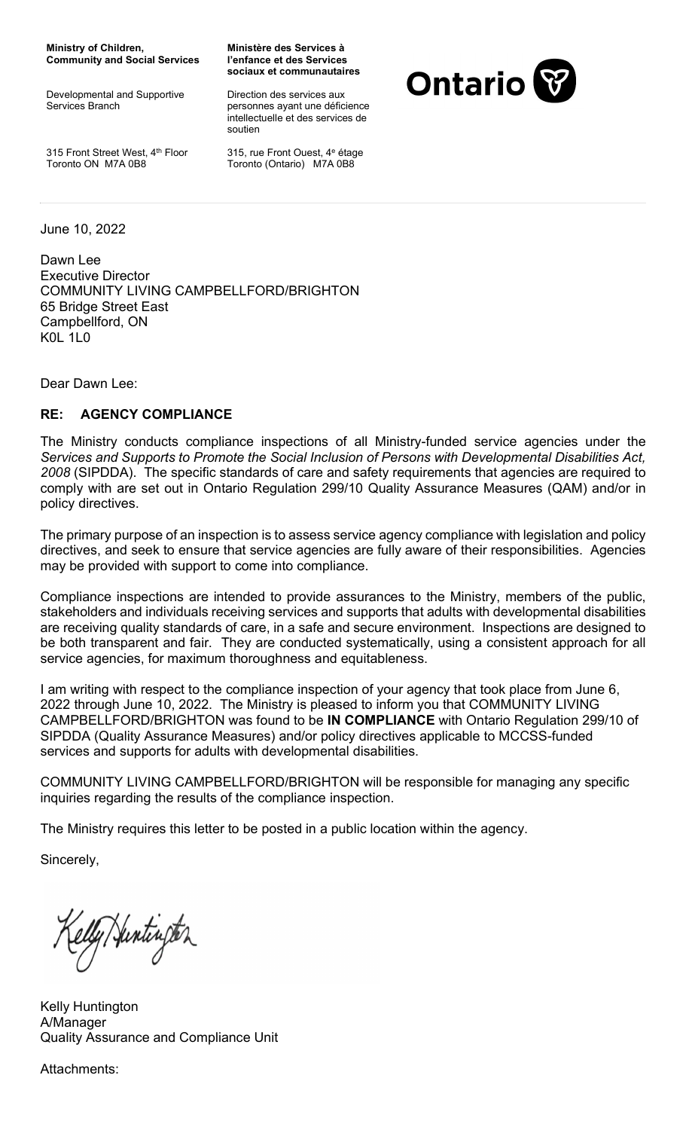Ministry of Children, Community and Social Services

Developmental and Supportive Services Branch

315 Front Street West, 4th Floor Toronto ON M7A 0B8

Ministère des Services à l'enfance et des Services sociaux et communautaires

Direction des services aux personnes ayant une déficience intellectuelle et des services de soutien

315, rue Front Ouest, 4<sup>e</sup> étage Toronto (Ontario) M7A 0B8



June 10, 2022

Dawn Lee Executive Director COMMUNITY LIVING CAMPBELLFORD/BRIGHTON 65 Bridge Street East Campbellford, ON K0L 1L0

Dear Dawn Lee:

## RE: AGENCY COMPLIANCE

The Ministry conducts compliance inspections of all Ministry-funded service agencies under the Services and Supports to Promote the Social Inclusion of Persons with Developmental Disabilities Act, 2008 (SIPDDA). The specific standards of care and safety requirements that agencies are required to comply with are set out in Ontario Regulation 299/10 Quality Assurance Measures (QAM) and/or in policy directives.

The primary purpose of an inspection is to assess service agency compliance with legislation and policy directives, and seek to ensure that service agencies are fully aware of their responsibilities. Agencies may be provided with support to come into compliance.

Compliance inspections are intended to provide assurances to the Ministry, members of the public, stakeholders and individuals receiving services and supports that adults with developmental disabilities are receiving quality standards of care, in a safe and secure environment. Inspections are designed to be both transparent and fair. They are conducted systematically, using a consistent approach for all service agencies, for maximum thoroughness and equitableness.

I am writing with respect to the compliance inspection of your agency that took place from June 6, 2022 through June 10, 2022. The Ministry is pleased to inform you that COMMUNITY LIVING CAMPBELLFORD/BRIGHTON was found to be IN COMPLIANCE with Ontario Regulation 299/10 of SIPDDA (Quality Assurance Measures) and/or policy directives applicable to MCCSS-funded services and supports for adults with developmental disabilities.

COMMUNITY LIVING CAMPBELLFORD/BRIGHTON will be responsible for managing any specific inquiries regarding the results of the compliance inspection.

The Ministry requires this letter to be posted in a public location within the agency.

Sincerely,

elly/Hintinjter

Kelly Huntington A/Manager Quality Assurance and Compliance Unit

Attachments: